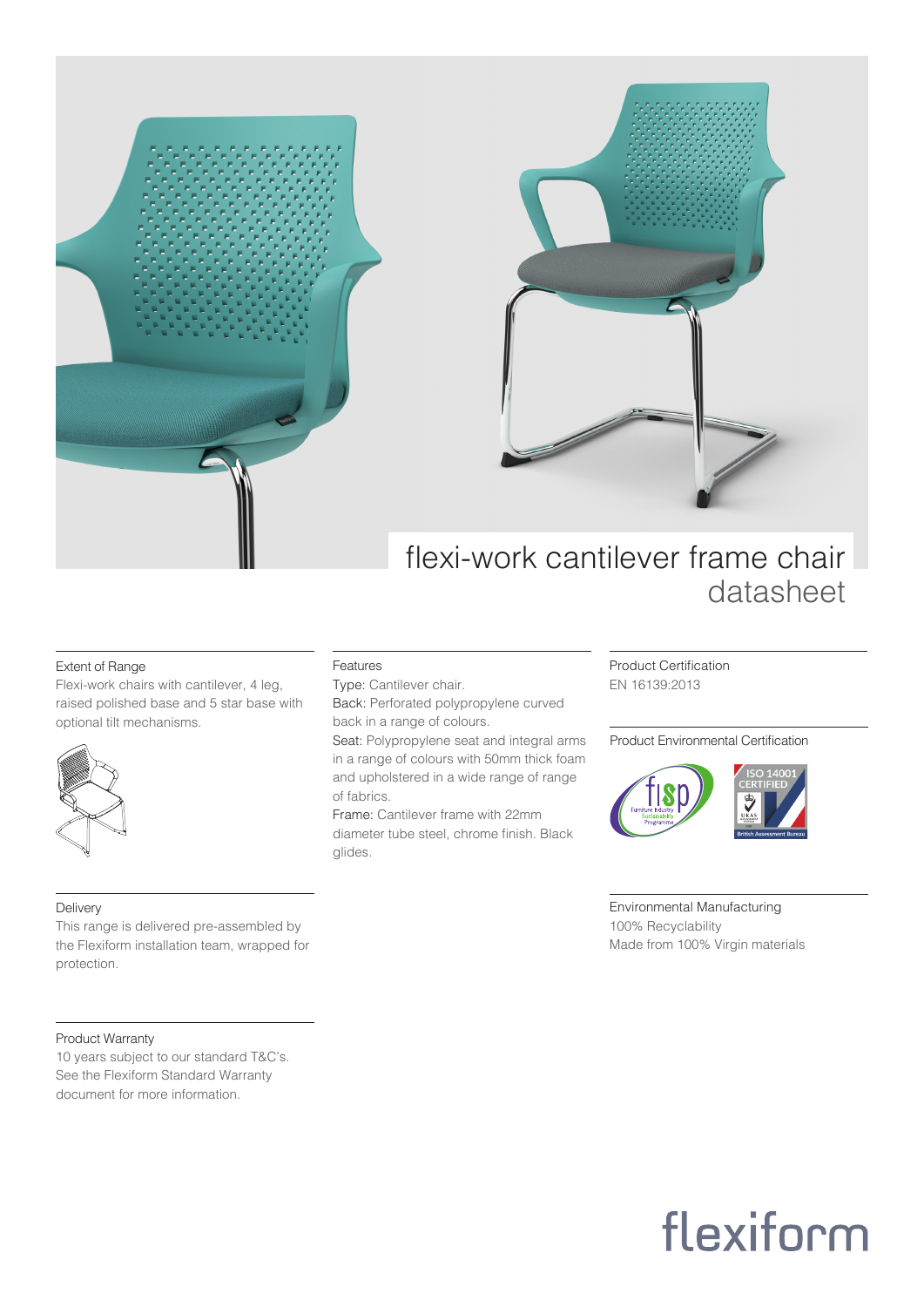

### Extent of Range

Flexi-work chairs with cantilever, 4 leg, raised polished base and 5 star base with optional tilt mechanisms.



### Delivery

This range is delivered pre-assembled by the Flexiform installation team, wrapped for protection.

## Product Warranty

10 years subject to our standard T&C's. See the Flexiform Standard Warranty document for more information.

# Features

Type: Cantilever chair. Back: Perforated polypropylene curved back in a range of colours.

Seat: Polypropylene seat and integral arms in a range of colours with 50mm thick foam and upholstered in a wide range of range of fabrics.

Frame: Cantilever frame with 22mm diameter tube steel, chrome finish. Black glides.

Product Certification EN 16139:2013

### Product Environmental Certification



Environmental Manufacturing 100% Recyclability Made from 100% Virgin materials